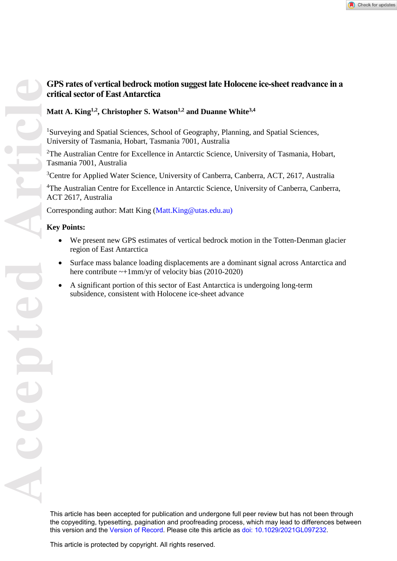# **GPS rates of vertical bedrock motion suggest late Holocene ice-sheet readvance in a critical sector of East Antarctica**

# **Matt A. King1,2 , Christopher S. Watson1,2 and Duanne White3,4**

<sup>1</sup>Surveying and Spatial Sciences, School of Geography, Planning, and Spatial Sciences, University of Tasmania, Hobart, Tasmania 7001, Australia

<sup>2</sup>The Australian Centre for Excellence in Antarctic Science, University of Tasmania, Hobart, Tasmania 7001, Australia

<sup>3</sup>Centre for Applied Water Science, University of Canberra, Canberra, ACT, 2617, Australia

<sup>4</sup>The Australian Centre for Excellence in Antarctic Science, University of Canberra, Canberra, ACT 2617, Australia

Corresponding author: Matt King (Matt.King@utas.edu.au)

# **Key Points:**

- We present new GPS estimates of vertical bedrock motion in the Totten-Denman glacier region of East Antarctica
- Surface mass balance loading displacements are a dominant signal across Antarctica and here contribute  $\sim +1$ mm/yr of velocity bias (2010-2020)
- A significant portion of this sector of East Antarctica is undergoing long-term subsidence, consistent with Holocene ice-sheet advance

This article has been accepted for publication and undergone full peer review but has not been through the copyediting, typesetting, pagination and proofreading process, which may lead to differences between this version and the [Version of Record](https://doi.org/10.1029/2021GL097232). Please cite this article as [doi: 10.1029/2021GL097232](https://doi.org/10.1029/2021GL097232).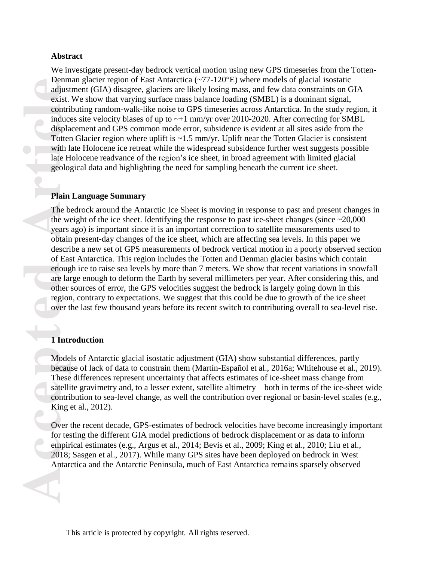### **Abstract**

We investigate present-day bedrock vertical motion using new GPS timeseries from the Totten-Denman glacier region of East Antarctica ( $\sim$ 77-120 $\degree$ E) where models of glacial isostatic adjustment (GIA) disagree, glaciers are likely losing mass, and few data constraints on GIA exist. We show that varying surface mass balance loading (SMBL) is a dominant signal, contributing random-walk-like noise to GPS timeseries across Antarctica. In the study region, it induces site velocity biases of up to  $\sim+1$  mm/yr over 2010-2020. After correcting for SMBL displacement and GPS common mode error, subsidence is evident at all sites aside from the Totten Glacier region where uplift is  $\sim$ 1.5 mm/yr. Uplift near the Totten Glacier is consistent with late Holocene ice retreat while the widespread subsidence further west suggests possible late Holocene readvance of the region's ice sheet, in broad agreement with limited glacial geological data and highlighting the need for sampling beneath the current ice sheet.

### **Plain Language Summary**

**Access Left 2018**<br> **Access Left 2018**<br> **Acter**<br> **Acter**<br> **Acter**<br> **Acter**<br> **Acter**<br> **Article**<br> **Article**<br> **Article**<br> **Article**<br> **Article**<br> **Article**<br> **Article**<br> **Article**<br> **Article**<br> **Article**<br> **Article**<br> **Article**<br> **Arti** The bedrock around the Antarctic Ice Sheet is moving in response to past and present changes in the weight of the ice sheet. Identifying the response to past ice-sheet changes (since  $\approx$  20,000 years ago) is important since it is an important correction to satellite measurements used to obtain present-day changes of the ice sheet, which are affecting sea levels. In this paper we describe a new set of GPS measurements of bedrock vertical motion in a poorly observed section of East Antarctica. This region includes the Totten and Denman glacier basins which contain enough ice to raise sea levels by more than 7 meters. We show that recent variations in snowfall are large enough to deform the Earth by several millimeters per year. After considering this, and other sources of error, the GPS velocities suggest the bedrock is largely going down in this region, contrary to expectations. We suggest that this could be due to growth of the ice sheet over the last few thousand years before its recent switch to contributing overall to sea-level rise.

### **1 Introduction**

Models of Antarctic glacial isostatic adjustment (GIA) show substantial differences, partly because of lack of data to constrain them (Martín-Español et al., 2016a; Whitehouse et al., 2019). These differences represent uncertainty that affects estimates of ice-sheet mass change from satellite gravimetry and, to a lesser extent, satellite altimetry – both in terms of the ice-sheet wide contribution to sea-level change, as well the contribution over regional or basin-level scales (e.g., King et al., 2012).

Over the recent decade, GPS-estimates of bedrock velocities have become increasingly important for testing the different GIA model predictions of bedrock displacement or as data to inform empirical estimates (e.g., Argus et al., 2014; Bevis et al., 2009; King et al., 2010; Liu et al., 2018; Sasgen et al., 2017). While many GPS sites have been deployed on bedrock in West Antarctica and the Antarctic Peninsula, much of East Antarctica remains sparsely observed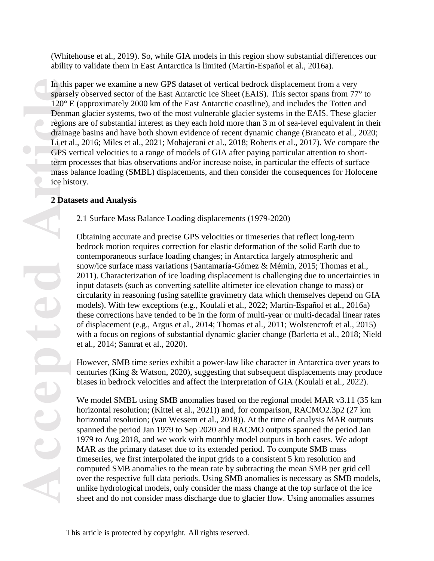(Whitehouse et al., 2019). So, while GIA models in this region show substantial differences our ability to validate them in East Antarctica is limited (Martín-Español et al., 2016a).

In this paper we examine a new GPS dataset of vertical bedrock displacement from a very sparsely observed sector of the East Antarctic Ice Sheet (EAIS). This sector spans from 77° to 120° E (approximately 2000 km of the East Antarctic coastline), and includes the Totten and Denman glacier systems, two of the most vulnerable glacier systems in the EAIS. These glacier regions are of substantial interest as they each hold more than 3 m of sea-level equivalent in their drainage basins and have both shown evidence of recent dynamic change (Brancato et al., 2020; Li et al., 2016; Miles et al., 2021; Mohajerani et al., 2018; Roberts et al., 2017). We compare the GPS vertical velocities to a range of models of GIA after paying particular attention to shortterm processes that bias observations and/or increase noise, in particular the effects of surface mass balance loading (SMBL) displacements, and then consider the consequences for Holocene ice history.

# **2 Datasets and Analysis**

2.1 Surface Mass Balance Loading displacements (1979-2020)

Obtaining accurate and precise GPS velocities or timeseries that reflect long-term bedrock motion requires correction for elastic deformation of the solid Earth due to contemporaneous surface loading changes; in Antarctica largely atmospheric and snow/ice surface mass variations (Santamaría-Gómez & Mémin, 2015; Thomas et al., 2011). Characterization of ice loading displacement is challenging due to uncertainties in input datasets (such as converting satellite altimeter ice elevation change to mass) or circularity in reasoning (using satellite gravimetry data which themselves depend on GIA models). With few exceptions (e.g., Koulali et al., 2022; Martín-Español et al., 2016a) these corrections have tended to be in the form of multi-year or multi-decadal linear rates of displacement (e.g., Argus et al., 2014; Thomas et al., 2011; Wolstencroft et al., 2015) with a focus on regions of substantial dynamic glacier change (Barletta et al., 2018; Nield et al., 2014; Samrat et al., 2020).

However, SMB time series exhibit a power-law like character in Antarctica over years to centuries (King & Watson, 2020), suggesting that subsequent displacements may produce biases in bedrock velocities and affect the interpretation of GIA (Koulali et al., 2022).

We model SMBL using SMB anomalies based on the regional model MAR v3.11 (35 km) horizontal resolution; (Kittel et al., 2021)) and, for comparison, RACMO2.3p2 (27 km horizontal resolution; (van Wessem et al., 2018)). At the time of analysis MAR outputs spanned the period Jan 1979 to Sep 2020 and RACMO outputs spanned the period Jan 1979 to Aug 2018, and we work with monthly model outputs in both cases. We adopt MAR as the primary dataset due to its extended period. To compute SMB mass timeseries, we first interpolated the input grids to a consistent 5 km resolution and computed SMB anomalies to the mean rate by subtracting the mean SMB per grid cell over the respective full data periods. Using SMB anomalies is necessary as SMB models, unlike hydrological models, only consider the mass change at the top surface of the ice sheet and do not consider mass discharge due to glacier flow. Using anomalies assumes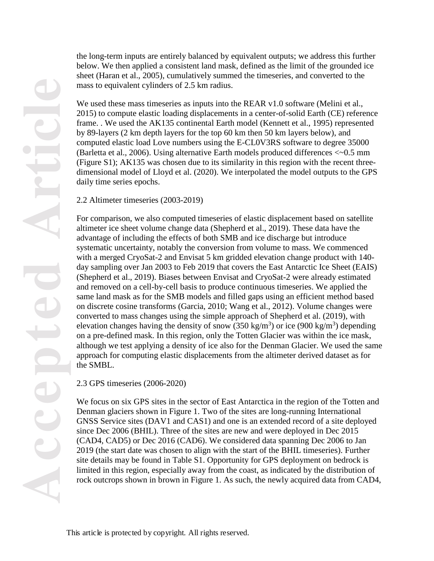**Accepted Article POCE** CCCC

the long-term inputs are entirely balanced by equivalent outputs; we address this further below. We then applied a consistent land mask, defined as the limit of the grounded ice sheet (Haran et al., 2005), cumulatively summed the timeseries, and converted to the mass to equivalent cylinders of 2.5 km radius.

We used these mass timeseries as inputs into the REAR v1.0 software (Melini et al., 2015) to compute elastic loading displacements in a center-of-solid Earth (CE) reference frame. . We used the AK135 continental Earth model (Kennett et al., 1995) represented by 89-layers (2 km depth layers for the top 60 km then 50 km layers below), and computed elastic load Love numbers using the E-CL0V3RS software to degree 35000 (Barletta et al., 2006). Using alternative Earth models produced differences <~0.5 mm (Figure S1); AK135 was chosen due to its similarity in this region with the recent threedimensional model of Lloyd et al. (2020). We interpolated the model outputs to the GPS daily time series epochs.

2.2 Altimeter timeseries (2003-2019)

For comparison, we also computed timeseries of elastic displacement based on satellite altimeter ice sheet volume change data (Shepherd et al., 2019). These data have the advantage of including the effects of both SMB and ice discharge but introduce systematic uncertainty, notably the conversion from volume to mass. We commenced with a merged CryoSat-2 and Envisat 5 km gridded elevation change product with 140day sampling over Jan 2003 to Feb 2019 that covers the East Antarctic Ice Sheet (EAIS) (Shepherd et al., 2019). Biases between Envisat and CryoSat-2 were already estimated and removed on a cell-by-cell basis to produce continuous timeseries. We applied the same land mask as for the SMB models and filled gaps using an efficient method based on discrete cosine transforms (Garcia, 2010; Wang et al., 2012). Volume changes were converted to mass changes using the simple approach of Shepherd et al. (2019), with elevation changes having the density of snow  $(350 \text{ kg/m}^3)$  or ice  $(900 \text{ kg/m}^3)$  depending on a pre-defined mask. In this region, only the Totten Glacier was within the ice mask, although we test applying a density of ice also for the Denman Glacier. We used the same approach for computing elastic displacements from the altimeter derived dataset as for the SMBL.

2.3 GPS timeseries (2006-2020)

We focus on six GPS sites in the sector of East Antarctica in the region of the Totten and Denman glaciers shown in Figure 1. Two of the sites are long-running International GNSS Service sites (DAV1 and CAS1) and one is an extended record of a site deployed since Dec 2006 (BHIL). Three of the sites are new and were deployed in Dec 2015 (CAD4, CAD5) or Dec 2016 (CAD6). We considered data spanning Dec 2006 to Jan 2019 (the start date was chosen to align with the start of the BHIL timeseries). Further site details may be found in Table S1. Opportunity for GPS deployment on bedrock is limited in this region, especially away from the coast, as indicated by the distribution of rock outcrops shown in brown in Figure 1. As such, the newly acquired data from CAD4,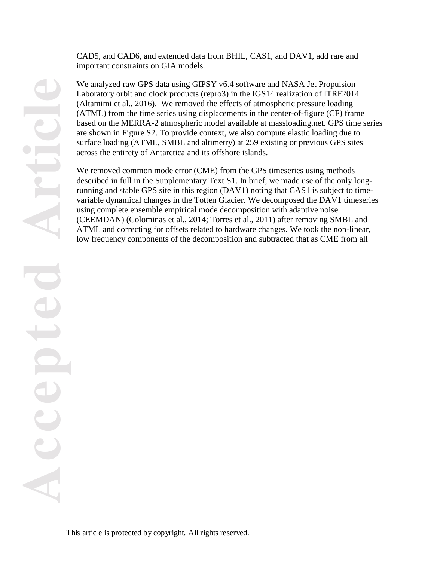CAD5, and CAD6, and extended data from BHIL, CAS1, and DAV1, add rare and important constraints on GIA models.

We analyzed raw GPS data using GIPSY v6.4 software and NASA Jet Propulsion Laboratory orbit and clock products (repro3) in the IGS14 realization of ITRF2014 (Altamimi et al., 2016). We removed the effects of atmospheric pressure loading (ATML) from the time series using displacements in the center-of-figure (CF) frame based on the MERRA-2 atmospheric model available at massloading.net. GPS time series are shown in Figure S2. To provide context, we also compute elastic loading due to surface loading (ATML, SMBL and altimetry) at 259 existing or previous GPS sites across the entirety of Antarctica and its offshore islands.

We removed common mode error (CME) from the GPS timeseries using methods described in full in the Supplementary Text S1. In brief, we made use of the only longrunning and stable GPS site in this region (DAV1) noting that CAS1 is subject to timevariable dynamical changes in the Totten Glacier. We decomposed the DAV1 timeseries using complete ensemble empirical mode decomposition with adaptive noise (CEEMDAN) (Colominas et al., 2014; Torres et al., 2011) after removing SMBL and ATML and correcting for offsets related to hardware changes. We took the non-linear, low frequency components of the decomposition and subtracted that as CME from all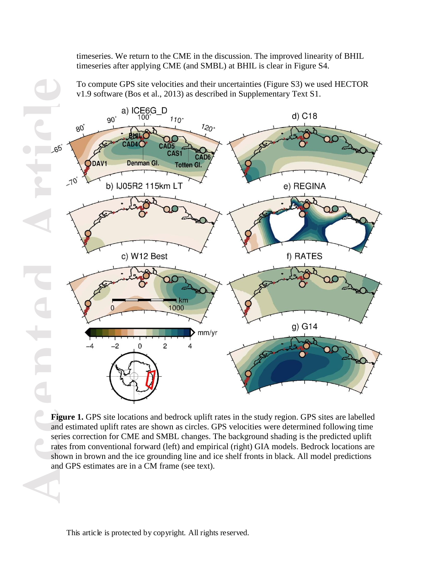timeseries. We return to the CME in the discussion. The improved linearity of BHIL timeseries after applying CME (and SMBL) at BHIL is clear in Figure S4.

To compute GPS site velocities and their uncertainties (Figure S3) we used HECTOR v1.9 software (Bos et al., 2013) as described in Supplementary Text S1.



Figure 1. GPS site locations and bedrock uplift rates in the study region. GPS sites are labelled and estimated uplift rates are shown as circles. GPS velocities were determined following time series correction for CME and SMBL changes. The background shading is the predicted uplift rates from conventional forward (left) and empirical (right) GIA models. Bedrock locations are shown in brown and the ice grounding line and ice shelf fronts in black. All model predictions and GPS estimates are in a CM frame (see text).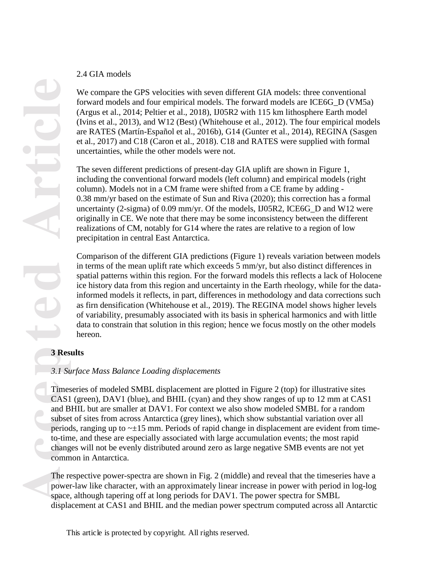## 2.4 GIA models

We compare the GPS velocities with seven different GIA models: three conventional forward models and four empirical models. The forward models are ICE6G\_D (VM5a) (Argus et al., 2014; Peltier et al., 2018), IJ05R2 with 115 km lithosphere Earth model (Ivins et al., 2013), and W12 (Best) (Whitehouse et al., 2012). The four empirical models are RATES (Martín-Español et al., 2016b), G14 (Gunter et al., 2014), REGINA (Sasgen et al., 2017) and C18 (Caron et al., 2018). C18 and RATES were supplied with formal uncertainties, while the other models were not.

The seven different predictions of present-day GIA uplift are shown in Figure 1, including the conventional forward models (left column) and empirical models (right column). Models not in a CM frame were shifted from a CE frame by adding - 0.38 mm/yr based on the estimate of Sun and Riva (2020); this correction has a formal uncertainty (2-sigma) of 0.09 mm/yr. Of the models, IJ05R2, ICE6G\_D and W12 were originally in CE. We note that there may be some inconsistency between the different realizations of CM, notably for G14 where the rates are relative to a region of low precipitation in central East Antarctica.

Comparison of the different GIA predictions (Figure 1) reveals variation between models in terms of the mean uplift rate which exceeds 5 mm/yr, but also distinct differences in spatial patterns within this region. For the forward models this reflects a lack of Holocene ice history data from this region and uncertainty in the Earth rheology, while for the datainformed models it reflects, in part, differences in methodology and data corrections such as firn densification (Whitehouse et al., 2019). The REGINA model shows higher levels of variability, presumably associated with its basis in spherical harmonics and with little data to constrain that solution in this region; hence we focus mostly on the other models hereon.

# **3 Results**

# *3.1 Surface Mass Balance Loading displacements*

Timeseries of modeled SMBL displacement are plotted in Figure 2 (top) for illustrative sites CAS1 (green), DAV1 (blue), and BHIL (cyan) and they show ranges of up to 12 mm at CAS1 and BHIL but are smaller at DAV1. For context we also show modeled SMBL for a random subset of sites from across Antarctica (grey lines), which show substantial variation over all periods, ranging up to  $\sim \pm 15$  mm. Periods of rapid change in displacement are evident from timeto-time, and these are especially associated with large accumulation events; the most rapid changes will not be evenly distributed around zero as large negative SMB events are not yet common in Antarctica.

The respective power-spectra are shown in Fig. 2 (middle) and reveal that the timeseries have a power-law like character, with an approximately linear increase in power with period in log-log space, although tapering off at long periods for DAV1. The power spectra for SMBL displacement at CAS1 and BHIL and the median power spectrum computed across all Antarctic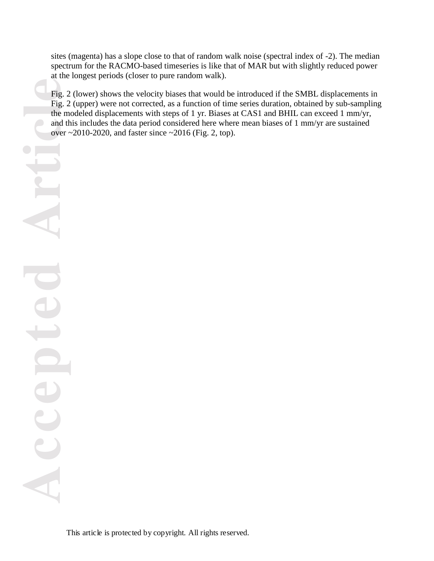sites (magenta) has a slope close to that of random walk noise (spectral index of -2). The median spectrum for the RACMO-based timeseries is like that of MAR but with slightly reduced power at the longest periods (closer to pure random walk).

Fig. 2 (lower) shows the velocity biases that would be introduced if the SMBL displacements in Fig. 2 (upper) were not corrected, as a function of time series duration, obtained by sub-sampling the modeled displacements with steps of 1 yr. Biases at CAS1 and BHIL can exceed 1 mm/yr, and this includes the data period considered here where mean biases of 1 mm/yr are sustained over  $\sim$  2010-2020, and faster since  $\sim$  2016 (Fig. 2, top).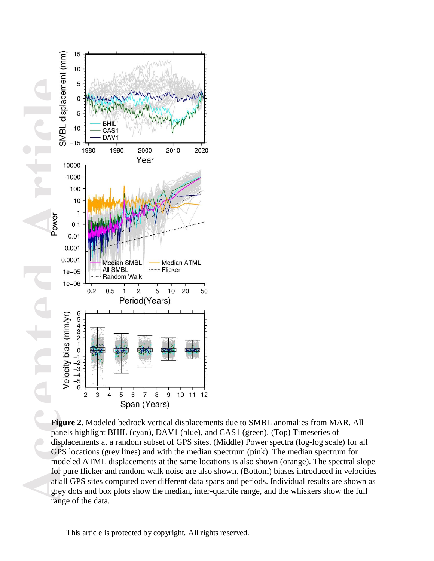

**Figure 2.** Modeled bedrock vertical displacements due to SMBL anomalies from MAR. All panels highlight BHIL (cyan), DAV1 (blue), and CAS1 (green). (Top) Timeseries of displacements at a random subset of GPS sites. (Middle) Power spectra (log-log scale) for all GPS locations (grey lines) and with the median spectrum (pink). The median spectrum for modeled ATML displacements at the same locations is also shown (orange). The spectral slope for pure flicker and random walk noise are also shown. (Bottom) biases introduced in velocities at all GPS sites computed over different data spans and periods. Individual results are shown as grey dots and box plots show the median, inter-quartile range, and the whiskers show the full range of the data.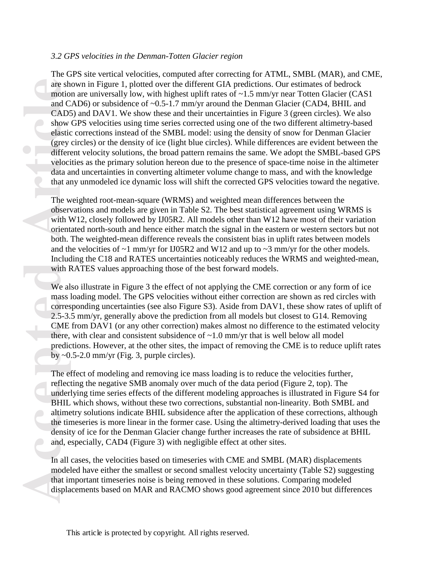### *3.2 GPS velocities in the Denman-Totten Glacier region*

are sh<br>
motio<br>
and C<br>
cAD:<br>
show<br>
elastic<br>
(grey<br>
differe<br>
veloci<br>
data a<br>
that a<br>
The webser<br>
with V<br>
orient<br>
both...<br>
and the Include<br>
with I<br>
we al<br>
mass l<br>
corres<br>
2.5-3.<br>
CME<br>
there, predic<br>
by ~0<br>
The e:<br>
reflec<br>
und The GPS site vertical velocities, computed after correcting for ATML, SMBL (MAR), and CME, are shown in Figure 1, plotted over the different GIA predictions. Our estimates of bedrock motion are universally low, with highest uplift rates of  $\sim$ 1.5 mm/yr near Totten Glacier (CAS1) and CAD6) or subsidence of ~0.5-1.7 mm/yr around the Denman Glacier (CAD4, BHIL and CAD5) and DAV1. We show these and their uncertainties in Figure 3 (green circles). We also show GPS velocities using time series corrected using one of the two different altimetry-based elastic corrections instead of the SMBL model: using the density of snow for Denman Glacier (grey circles) or the density of ice (light blue circles). While differences are evident between the different velocity solutions, the broad pattern remains the same. We adopt the SMBL-based GPS velocities as the primary solution hereon due to the presence of space-time noise in the altimeter data and uncertainties in converting altimeter volume change to mass, and with the knowledge that any unmodeled ice dynamic loss will shift the corrected GPS velocities toward the negative.

The weighted root-mean-square (WRMS) and weighted mean differences between the observations and models are given in Table S2. The best statistical agreement using WRMS is with W12, closely followed by IJ05R2. All models other than W12 have most of their variation orientated north-south and hence either match the signal in the eastern or western sectors but not both. The weighted-mean difference reveals the consistent bias in uplift rates between models and the velocities of  $\sim$ 1 mm/yr for IJ05R2 and W12 and up to  $\sim$ 3 mm/yr for the other models. Including the C18 and RATES uncertainties noticeably reduces the WRMS and weighted-mean, with RATES values approaching those of the best forward models.

We also illustrate in Figure 3 the effect of not applying the CME correction or any form of ice mass loading model. The GPS velocities without either correction are shown as red circles with corresponding uncertainties (see also Figure S3). Aside from DAV1, these show rates of uplift of 2.5-3.5 mm/yr, generally above the prediction from all models but closest to G14. Removing CME from DAV1 (or any other correction) makes almost no difference to the estimated velocity there, with clear and consistent subsidence of  $\sim$ 1.0 mm/yr that is well below all model predictions. However, at the other sites, the impact of removing the CME is to reduce uplift rates by  $\sim 0.5$ -2.0 mm/yr (Fig. 3, purple circles).

The effect of modeling and removing ice mass loading is to reduce the velocities further, reflecting the negative SMB anomaly over much of the data period (Figure 2, top). The underlying time series effects of the different modeling approaches is illustrated in Figure S4 for BHIL which shows, without these two corrections, substantial non-linearity. Both SMBL and altimetry solutions indicate BHIL subsidence after the application of these corrections, although the timeseries is more linear in the former case. Using the altimetry-derived loading that uses the density of ice for the Denman Glacier change further increases the rate of subsidence at BHIL and, especially, CAD4 (Figure 3) with negligible effect at other sites.

In all cases, the velocities based on timeseries with CME and SMBL (MAR) displacements modeled have either the smallest or second smallest velocity uncertainty (Table S2) suggesting that important timeseries noise is being removed in these solutions. Comparing modeled displacements based on MAR and RACMO shows good agreement since 2010 but differences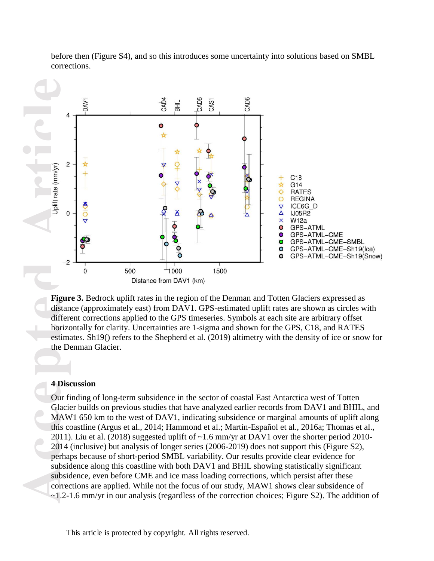

before then (Figure S4), and so this introduces some uncertainty into solutions based on SMBL corrections.

**Figure 3.** Bedrock uplift rates in the region of the Denman and Totten Glaciers expressed as distance (approximately east) from DAV1. GPS-estimated uplift rates are shown as circles with different corrections applied to the GPS timeseries. Symbols at each site are arbitrary offset horizontally for clarity. Uncertainties are 1-sigma and shown for the GPS, C18, and RATES estimates. Sh19() refers to the Shepherd et al. (2019) altimetry with the density of ice or snow for the Denman Glacier.

## **4 Discussion**

Our finding of long-term subsidence in the sector of coastal East Antarctica west of Totten Glacier builds on previous studies that have analyzed earlier records from DAV1 and BHIL, and MAW1 650 km to the west of DAV1, indicating subsidence or marginal amounts of uplift along this coastline (Argus et al., 2014; Hammond et al.; Martín-Español et al., 2016a; Thomas et al., 2011). Liu et al. (2018) suggested uplift of  $\sim$ 1.6 mm/yr at DAV1 over the shorter period 2010-2014 (inclusive) but analysis of longer series (2006-2019) does not support this (Figure S2), perhaps because of short-period SMBL variability. Our results provide clear evidence for subsidence along this coastline with both DAV1 and BHIL showing statistically significant subsidence, even before CME and ice mass loading corrections, which persist after these corrections are applied. While not the focus of our study, MAW1 shows clear subsidence of ~1.2-1.6 mm/yr in our analysis (regardless of the correction choices; Figure S2). The addition of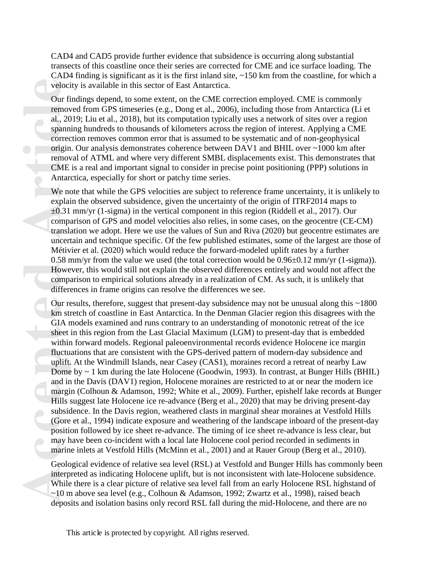CAD4 and CAD5 provide further evidence that subsidence is occurring along substantial transects of this coastline once their series are corrected for CME and ice surface loading. The CAD4 finding is significant as it is the first inland site,  $\sim$ 150 km from the coastline, for which a velocity is available in this sector of East Antarctica.

Our findings depend, to some extent, on the CME correction employed. CME is commonly removed from GPS timeseries (e.g., Dong et al., 2006), including those from Antarctica (Li et al., 2019; Liu et al., 2018), but its computation typically uses a network of sites over a region spanning hundreds to thousands of kilometers across the region of interest. Applying a CME correction removes common error that is assumed to be systematic and of non-geophysical origin. Our analysis demonstrates coherence between DAV1 and BHIL over ~1000 km after removal of ATML and where very different SMBL displacements exist. This demonstrates that CME is a real and important signal to consider in precise point positioning (PPP) solutions in Antarctica, especially for short or patchy time series.

We note that while the GPS velocities are subject to reference frame uncertainty, it is unlikely to explain the observed subsidence, given the uncertainty of the origin of ITRF2014 maps to  $\pm 0.31$  mm/yr (1-sigma) in the vertical component in this region (Riddell et al., 2017). Our comparison of GPS and model velocities also relies, in some cases, on the geocentre (CE-CM) translation we adopt. Here we use the values of Sun and Riva (2020) but geocentre estimates are uncertain and technique specific. Of the few published estimates, some of the largest are those of Métivier et al. (2020) which would reduce the forward-modeled uplift rates by a further 0.58 mm/yr from the value we used (the total correction would be  $0.96\pm0.12$  mm/yr (1-sigma)). However, this would still not explain the observed differences entirely and would not affect the comparison to empirical solutions already in a realization of CM. As such, it is unlikely that differences in frame origins can resolve the differences we see.

veloci<br>
Our fi<br>
remov<br>
al., 20<br>
spann<br>
correc<br>
origin<br>
remov<br>
CME<br>
Antar-<br>
We no<br>
explai<br>  $\pm 0.31$ <br>
comparizants<br>
incert<br>
Métiv<br>
0.58 r<br>
Howe<br>
comparizants<br>
differe<br>
Our re<br>
comparizants<br>
differe<br>
Our re<br>
km stu<br>
GIA r<br>
s Our results, therefore, suggest that present-day subsidence may not be unusual along this ~1800 km stretch of coastline in East Antarctica. In the Denman Glacier region this disagrees with the GIA models examined and runs contrary to an understanding of monotonic retreat of the ice sheet in this region from the Last Glacial Maximum (LGM) to present-day that is embedded within forward models. Regional paleoenvironmental records evidence Holocene ice margin fluctuations that are consistent with the GPS-derived pattern of modern-day subsidence and uplift. At the Windmill Islands, near Casey (CAS1), moraines record a retreat of nearby Law Dome by ~ 1 km during the late Holocene (Goodwin, 1993). In contrast, at Bunger Hills (BHIL) and in the Davis (DAV1) region, Holocene moraines are restricted to at or near the modern ice margin (Colhoun & Adamson, 1992; White et al., 2009). Further, epishelf lake records at Bunger Hills suggest late Holocene ice re-advance (Berg et al., 2020) that may be driving present-day subsidence. In the Davis region, weathered clasts in marginal shear moraines at Vestfold Hills (Gore et al., 1994) indicate exposure and weathering of the landscape inboard of the present-day position followed by ice sheet re-advance. The timing of ice sheet re-advance is less clear, but may have been co-incident with a local late Holocene cool period recorded in sediments in marine inlets at Vestfold Hills (McMinn et al., 2001) and at Rauer Group (Berg et al., 2010).

Geological evidence of relative sea level (RSL) at Vestfold and Bunger Hills has commonly been interpreted as indicating Holocene uplift, but is not inconsistent with late-Holocene subsidence. While there is a clear picture of relative sea level fall from an early Holocene RSL highstand of ~10 m above sea level (e.g., Colhoun & Adamson, 1992; Zwartz et al., 1998), raised beach deposits and isolation basins only record RSL fall during the mid-Holocene, and there are no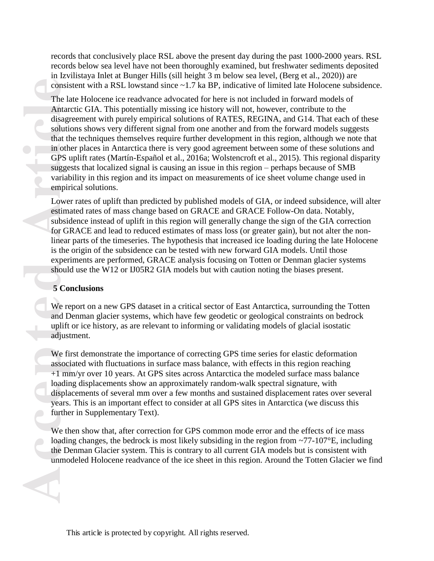records that conclusively place RSL above the present day during the past 1000-2000 years. RSL records below sea level have not been thoroughly examined, but freshwater sediments deposited in Izvilistaya Inlet at Bunger Hills (sill height 3 m below sea level, (Berg et al., 2020)) are consistent with a RSL lowstand since ~1.7 ka BP, indicative of limited late Holocene subsidence.

consis<br>
The 1*i*<br>
Antare<br>
disagr<br>
solution<br>
that the in oth<br>
GPS u<br>
sugge<br>
variat<br>
enpir<br>
Lowe:<br>
estima<br>
subsic<br>
for GI<br>
linear<br>
is the experi<br>
should<br>
5 Con<br>
We re<br>
and D<br>
uplift<br>
adjust<br>
We fill adjust<br>
We fill adding di The late Holocene ice readvance advocated for here is not included in forward models of Antarctic GIA. This potentially missing ice history will not, however, contribute to the disagreement with purely empirical solutions of RATES, REGINA, and G14. That each of these solutions shows very different signal from one another and from the forward models suggests that the techniques themselves require further development in this region, although we note that in other places in Antarctica there is very good agreement between some of these solutions and GPS uplift rates (Martín-Español et al., 2016a; Wolstencroft et al., 2015). This regional disparity suggests that localized signal is causing an issue in this region – perhaps because of SMB variability in this region and its impact on measurements of ice sheet volume change used in empirical solutions.

Lower rates of uplift than predicted by published models of GIA, or indeed subsidence, will alter estimated rates of mass change based on GRACE and GRACE Follow-On data. Notably, subsidence instead of uplift in this region will generally change the sign of the GIA correction for GRACE and lead to reduced estimates of mass loss (or greater gain), but not alter the nonlinear parts of the timeseries. The hypothesis that increased ice loading during the late Holocene is the origin of the subsidence can be tested with new forward GIA models. Until those experiments are performed, GRACE analysis focusing on Totten or Denman glacier systems should use the W12 or IJ05R2 GIA models but with caution noting the biases present.

#### **5 Conclusions**

We report on a new GPS dataset in a critical sector of East Antarctica, surrounding the Totten and Denman glacier systems, which have few geodetic or geological constraints on bedrock uplift or ice history, as are relevant to informing or validating models of glacial isostatic adjustment.

We first demonstrate the importance of correcting GPS time series for elastic deformation associated with fluctuations in surface mass balance, with effects in this region reaching +1 mm/yr over 10 years. At GPS sites across Antarctica the modeled surface mass balance loading displacements show an approximately random-walk spectral signature, with displacements of several mm over a few months and sustained displacement rates over several years. This is an important effect to consider at all GPS sites in Antarctica (we discuss this further in Supplementary Text).

We then show that, after correction for GPS common mode error and the effects of ice mass loading changes, the bedrock is most likely subsiding in the region from ~77-107°E, including the Denman Glacier system. This is contrary to all current GIA models but is consistent with unmodeled Holocene readvance of the ice sheet in this region. Around the Totten Glacier we find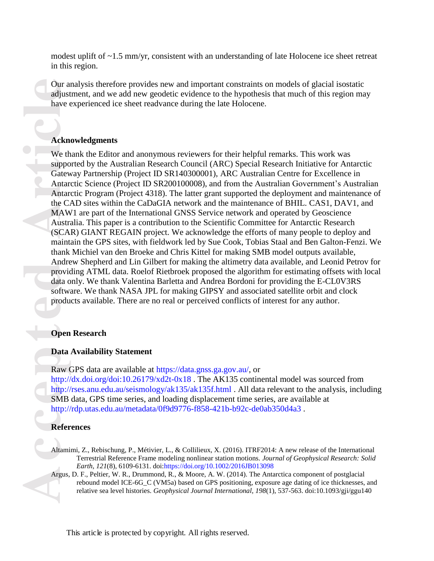modest uplift of  $\sim$ 1.5 mm/yr, consistent with an understanding of late Holocene ice sheet retreat in this region.

Our analysis therefore provides new and important constraints on models of glacial isostatic adjustment, and we add new geodetic evidence to the hypothesis that much of this region may have experienced ice sheet readvance during the late Holocene.

### **Acknowledgments**

**Acknowledge Controllering Contract Controllering Contract Contract Contract Contract Contract Contract Contract Contract Contract Contract Contract Contract Contract Contract Contract Contract Contract Contract Contract C** We thank the Editor and anonymous reviewers for their helpful remarks. This work was supported by the Australian Research Council (ARC) Special Research Initiative for Antarctic Gateway Partnership (Project ID SR140300001), ARC Australian Centre for Excellence in Antarctic Science (Project ID SR200100008), and from the Australian Government's Australian Antarctic Program (Project 4318). The latter grant supported the deployment and maintenance of the CAD sites within the CaDaGIA network and the maintenance of BHIL. CAS1, DAV1, and MAW1 are part of the International GNSS Service network and operated by Geoscience Australia. This paper is a contribution to the Scientific Committee for Antarctic Research (SCAR) GIANT REGAIN project. We acknowledge the efforts of many people to deploy and maintain the GPS sites, with fieldwork led by Sue Cook, Tobias Staal and Ben Galton-Fenzi. We thank Michiel van den Broeke and Chris Kittel for making SMB model outputs available, Andrew Shepherd and Lin Gilbert for making the altimetry data available, and Leonid Petrov for providing ATML data. Roelof Rietbroek proposed the algorithm for estimating offsets with local data only. We thank Valentina Barletta and Andrea Bordoni for providing the E-CL0V3RS software. We thank NASA JPL for making GIPSY and associated satellite orbit and clock products available. There are no real or perceived conflicts of interest for any author.

#### **Open Research**

#### **Data Availability Statement**

Raw GPS data are available at [https://data.gnss.ga.gov.au/,](https://data.gnss.ga.gov.au/) or <http://dx.doi.org/doi:10.26179/xd2t-0x18>. The AK135 continental model was sourced from <http://rses.anu.edu.au/seismology/ak135/ak135f.html> . All data relevant to the analysis, including SMB data, GPS time series, and loading displacement time series, are available at <http://rdp.utas.edu.au/metadata/0f9d9776-f858-421b-b92c-de0ab350d4a3> .

#### **References**

Altamimi, Z., Rebischung, P., Métivier, L., & Collilieux, X. (2016). ITRF2014: A new release of the International Terrestrial Reference Frame modeling nonlinear station motions. *Journal of Geophysical Research: Solid Earth, 121*(8), 6109-6131. doi[:https://doi.org/10.1002/2016JB013098](https://doi.org/10.1002/2016JB013098)

Argus, D. F., Peltier, W. R., Drummond, R., & Moore, A. W. (2014). The Antarctica component of postglacial rebound model ICE-6G C (VM5a) based on GPS positioning, exposure age dating of ice thicknesses, and relative sea level histories. *Geophysical Journal International, 198*(1), 537-563. doi:10.1093/gji/ggu140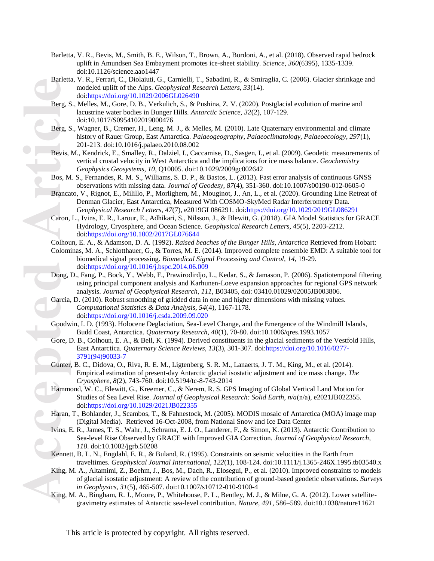- Barletta, V. R., Bevis, M., Smith, B. E., Wilson, T., Brown, A., Bordoni, A., et al. (2018). Observed rapid bedrock uplift in Amundsen Sea Embayment promotes ice-sheet stability. *Science, 360*(6395), 1335-1339. doi:10.1126/science.aao1447
- Barletta, V. R., Ferrari, C., Diolaiuti, G., Carnielli, T., Sabadini, R., & Smiraglia, C. (2006). Glacier shrinkage and modeled uplift of the Alps. *Geophysical Research Letters, 33*(14). doi[:https://doi.org/10.1029/2006GL026490](https://doi.org/10.1029/2006GL026490)
- Berg, S., Melles, M., Gore, D. B., Verkulich, S., & Pushina, Z. V. (2020). Postglacial evolution of marine and lacustrine water bodies in Bunger Hills. *Antarctic Science, 32*(2), 107-129. doi:10.1017/S0954102019000476
- Berg, S., Wagner, B., Cremer, H., Leng, M. J., & Melles, M. (2010). Late Quaternary environmental and climate history of Rauer Group, East Antarctica. *Palaeogeography, Palaeoclimatology, Palaeoecology, 297*(1), 201-213. doi:10.1016/j.palaeo.2010.08.002
- Bevis, M., Kendrick, E., Smalley, R., Dalziel, I., Caccamise, D., Sasgen, I., et al. (2009). Geodetic measurements of vertical crustal velocity in West Antarctica and the implications for ice mass balance. *Geochemistry Geophysics Geosystems, 10*, Q10005. doi:10.1029/2009gc002642
- Bos, M. S., Fernandes, R. M. S., Williams, S. D. P., & Bastos, L. (2013). Fast error analysis of continuous GNSS observations with missing data. *Journal of Geodesy, 87*(4), 351-360. doi:10.1007/s00190-012-0605-0
- Brancato, V., Rignot, E., Milillo, P., Morlighem, M., Mouginot, J., An, L., et al. (2020). Grounding Line Retreat of Denman Glacier, East Antarctica, Measured With COSMO-SkyMed Radar Interferometry Data. *Geophysical Research Letters, 47*(7), e2019GL086291. doi[:https://doi.org/10.1029/2019GL086291](https://doi.org/10.1029/2019GL086291)
- Berg, S<br>Berg, S<br>Berg, S<br>Bevis, Bos, M<br>Branca<br>Caron, Colhou<br>Colomi<br>Colomi<br>Colomi<br>Dong, I<br>Garcia, Goodw<br>Gore, I<br>Gunter<br>Hamme<br>Haran, Livins, F<br>Kennet<br>Karcia, Taran, Livins, F<br>Karcia, Taran, Livins, F<br>Kennet<br>Karcia, Taran, Liv Caron, L., Ivins, E. R., Larour, E., Adhikari, S., Nilsson, J., & Blewitt, G. (2018). GIA Model Statistics for GRACE Hydrology, Cryosphere, and Ocean Science. *Geophysical Research Letters, 45*(5), 2203-2212. doi[:https://doi.org/10.1002/2017GL076644](https://doi.org/10.1002/2017GL076644)
	- Colhoun, E. A., & Adamson, D. A. (1992). *Raised beaches of the Bunger Hills, Antarctica* Retrieved from Hobart:

Colominas, M. A., Schlotthauer, G., & Torres, M. E. (2014). Improved complete ensemble EMD: A suitable tool for biomedical signal processing. *Biomedical Signal Processing and Control, 14*, 19-29. doi[:https://doi.org/10.1016/j.bspc.2014.06.009](https://doi.org/10.1016/j.bspc.2014.06.009)

- Dong, D., Fang, P., Bock, Y., Webb, F., Prawirodirdjo, L., Kedar, S., & Jamason, P. (2006). Spatiotemporal filtering using principal component analysis and Karhunen-Loeve expansion approaches for regional GPS network analysis. *Journal of Geophysical Research, 111*, B03405, doi: 03410.01029/02005JB003806.
- Garcia, D. (2010). Robust smoothing of gridded data in one and higher dimensions with missing values. *Computational Statistics & Data Analysis, 54*(4), 1167-1178. doi[:https://doi.org/10.1016/j.csda.2009.09.020](https://doi.org/10.1016/j.csda.2009.09.020)
- Goodwin, I. D. (1993). Holocene Deglaciation, Sea-Level Change, and the Emergence of the Windmill Islands, Budd Coast, Antarctica. *Quaternary Research, 40*(1), 70-80. doi:10.1006/qres.1993.1057
- Gore, D. B., Colhoun, E. A., & Bell, K. (1994). Derived constituents in the glacial sediments of the Vestfold Hills, East Antarctica. *Quaternary Science Reviews, 13*(3), 301-307. doi[:https://doi.org/10.1016/0277-](https://doi.org/10.1016/0277-3791(94)90033-7) [3791\(94\)90033-7](https://doi.org/10.1016/0277-3791(94)90033-7)
- Gunter, B. C., Didova, O., Riva, R. E. M., Ligtenberg, S. R. M., Lanaerts, J. T. M., King, M., et al. (2014). Empirical estimation of present-day Antarctic glacial isostatic adjustment and ice mass change. *The Cryosphere, 8*(2), 743-760. doi:10.5194/tc-8-743-2014
- Hammond, W. C., Blewitt, G., Kreemer, C., & Nerem, R. S. GPS Imaging of Global Vertical Land Motion for Studies of Sea Level Rise. *Journal of Geophysical Research: Solid Earth, n/a*(n/a), e2021JB022355. doi[:https://doi.org/10.1029/2021JB022355](https://doi.org/10.1029/2021JB022355)
- Haran, T., Bohlander, J., Scambos, T., & Fahnestock, M. (2005). MODIS mosaic of Antarctica (MOA) image map (Digital Media). Retrieved 16-Oct-2008, from National Snow and Ice Data Center
- Ivins, E. R., James, T. S., Wahr, J., Schrama, E. J. O., Landerer, F., & Simon, K. (2013). Antarctic Contribution to Sea-level Rise Observed by GRACE with Improved GIA Correction. *Journal of Geophysical Research, 118*. doi:10.1002/jgrb.50208
- Kennett, B. L. N., Engdahl, E. R., & Buland, R. (1995). Constraints on seismic velocities in the Earth from traveltimes. *Geophysical Journal International, 122*(1), 108-124. doi:10.1111/j.1365-246X.1995.tb03540.x
- King, M. A., Altamimi, Z., Boehm, J., Bos, M., Dach, R., Elosegui, P., et al. (2010). Improved constraints to models of glacial isostatic adjustment: A review of the contribution of ground-based geodetic observations. *Surveys in Geophysics, 31*(5), 465-507. doi:10.1007/s10712-010-9100-4
- King, M. A., Bingham, R. J., Moore, P., Whitehouse, P. L., Bentley, M. J., & Milne, G. A. (2012). Lower satellitegravimetry estimates of Antarctic sea-level contribution. *Nature, 491*, 586–589. doi:10.1038/nature11621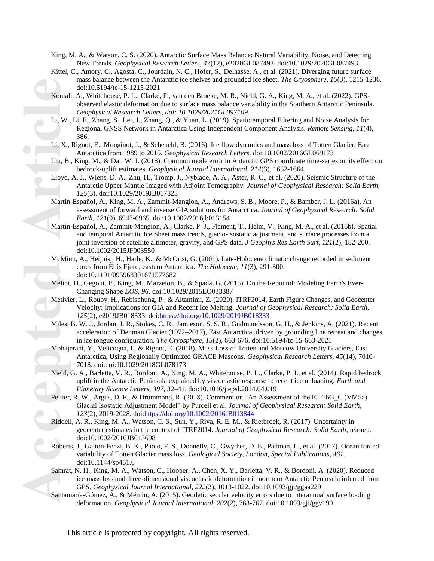- King, M. A., & Watson, C. S. (2020). Antarctic Surface Mass Balance: Natural Variability, Noise, and Detecting New Trends. *Geophysical Research Letters, 47*(12), e2020GL087493. doi:10.1029/2020GL087493
- Kittel, C., Amory, C., Agosta, C., Jourdain, N. C., Hofer, S., Delhasse, A., et al. (2021). Diverging future surface mass balance between the Antarctic ice shelves and grounded ice sheet. *The Cryosphere, 15*(3), 1215-1236. doi:10.5194/tc-15-1215-2021
- Koulali, A., Whitehouse, P. L., Clarke, P., van den Broeke, M. R., Nield, G. A., King, M. A., et al. (2022). GPSobserved elastic deformation due to surface mass balance variability in the Southern Antarctic Peninsula. *Geophysical Research Letters, doi: 10.1029/2021GL097109*.
- Li, W., Li, F., Zhang, S., Lei, J., Zhang, Q., & Yuan, L. (2019). Spatiotemporal Filtering and Noise Analysis for Regional GNSS Network in Antarctica Using Independent Component Analysis. *Remote Sensing, 11*(4), 386.
- Li, X., Rignot, E., Mouginot, J., & Scheuchl, B. (2016). Ice flow dynamics and mass loss of Totten Glacier, East Antarctica from 1989 to 2015. *Geophysical Research Letters*. doi:10.1002/2016GL069173
- Liu, B., King, M., & Dai, W. J. (2018). Common mode error in Antarctic GPS coordinate time-series on its effect on bedrock-uplift estimates. *Geophysical Journal International, 214*(3), 1652-1664.
- Lloyd, A. J., Wiens, D. A., Zhu, H., Tromp, J., Nyblade, A. A., Aster, R. C., et al. (2020). Seismic Structure of the Antarctic Upper Mantle Imaged with Adjoint Tomography. *Journal of Geophysical Research: Solid Earth, 125*(3). doi:10.1029/2019JB017823
- Martín-Español, A., King, M. A., Zammit-Mangion, A., Andrews, S. B., Moore, P., & Bamber, J. L. (2016a). An assessment of forward and inverse GIA solutions for Antarctica. *Journal of Geophysical Research: Solid Earth, 121*(9), 6947-6965. doi:10.1002/2016jb013154
- Koulali<br>
Li, W.,<br>
Li, X.,<br>
Liu, B.<br>
Lloyd,<br>
Martín<br>
Martín<br>
Martín<br>
McMir<br>
Melini,<br>
Métivie<br>
Miles,<br>
Mohaje<br>
Nield,<br>
Peltier,<br>
Robert:<br>
Robert:<br>
Samrat<br>
Samrat<br>
Samrat<br>
Samrat<br>
Samrat<br>
Samrat<br>
Samrat<br>
Samrat<br>
Samrat<br>
Samra Martín-Español, A., Zammit-Mangion, A., Clarke, P. J., Flament, T., Helm, V., King, M. A., et al. (2016b). Spatial and temporal Antarctic Ice Sheet mass trends, glacio-isostatic adjustment, and surface processes from a joint inversion of satellite altimeter, gravity, and GPS data. *J Geophys Res Earth Surf, 121*(2), 182-200. doi:10.1002/2015JF003550
	- McMinn, A., Heijnisj, H., Harle, K., & McOrist, G. (2001). Late-Holocene climatic change recorded in sediment cores from Ellis Fjord, eastern Antarctica. *The Holocene, 11*(3), 291-300. doi:10.1191/095968301671577682
	- Melini, D., Gegout, P., King, M., Marzeion, B., & Spada, G. (2015). On the Rebound: Modeling Earth's Ever-Changing Shape *EOS, 96*. doi:10.1029/2015EO033387
	- Métivier, L., Rouby, H., Rebischung, P., & Altamimi, Z. (2020). ITRF2014, Earth Figure Changes, and Geocenter Velocity: Implications for GIA and Recent Ice Melting. *Journal of Geophysical Research: Solid Earth, 125*(2), e2019JB018333. doi[:https://doi.org/10.1029/2019JB018333](https://doi.org/10.1029/2019JB018333)
	- Miles, B. W. J., Jordan, J. R., Stokes, C. R., Jamieson, S. S. R., Gudmundsson, G. H., & Jenkins, A. (2021). Recent acceleration of Denman Glacier (1972–2017), East Antarctica, driven by grounding line retreat and changes in ice tongue configuration. *The Cryosphere, 15*(2), 663-676. doi:10.5194/tc-15-663-2021
	- Mohajerani, Y., Velicogna, I., & Rignot, E. (2018). Mass Loss of Totten and Moscow University Glaciers, East Antarctica, Using Regionally Optimized GRACE Mascons. *Geophysical Research Letters, 45*(14), 7010- 7018. doi:doi:10.1029/2018GL078173
	- Nield, G. A., Barletta, V. R., Bordoni, A., King, M. A., Whitehouse, P. L., Clarke, P. J., et al. (2014). Rapid bedrock uplift in the Antarctic Peninsula explained by viscoelastic response to recent ice unloading. *Earth and Planetary Science Letters, 397*, 32–41. doi:10.1016/j.epsl.2014.04.019
	- Peltier, R. W., Argus, D. F., & Drummond, R. (2018). Comment on "An Assessment of the ICE-6G\_C (VM5a) Glacial Isostatic Adjustment Model" by Purcell et al. *Journal of Geophysical Research: Solid Earth, 123*(2), 2019-2028. doi[:https://doi.org/10.1002/2016JB013844](https://doi.org/10.1002/2016JB013844)
	- Riddell, A. R., King, M. A., Watson, C. S., Sun, Y., Riva, R. E. M., & Rietbroek, R. (2017). Uncertainty in geocenter estimates in the context of ITRF2014. *Journal of Geophysical Research: Solid Earth*, n/a-n/a. doi:10.1002/2016JB013698
	- Roberts, J., Galton-Fenzi, B. K., Paolo, F. S., Donnelly, C., Gwyther, D. E., Padman, L., et al. (2017). Ocean forced variability of Totten Glacier mass loss. *Geological Society, London, Special Publications, 461*. doi:10.1144/sp461.6
	- Samrat, N. H., King, M. A., Watson, C., Hooper, A., Chen, X. Y., Barletta, V. R., & Bordoni, A. (2020). Reduced ice mass loss and three-dimensional viscoelastic deformation in northern Antarctic Peninsula inferred from GPS. *Geophysical Journal International, 222*(2), 1013-1022. doi:10.1093/gji/ggaa229
	- Santamaría-Gómez, A., & Mémin, A. (2015). Geodetic secular velocity errors due to interannual surface loading deformation. *Geophysical Journal International, 202*(2), 763-767. doi:10.1093/gji/ggv190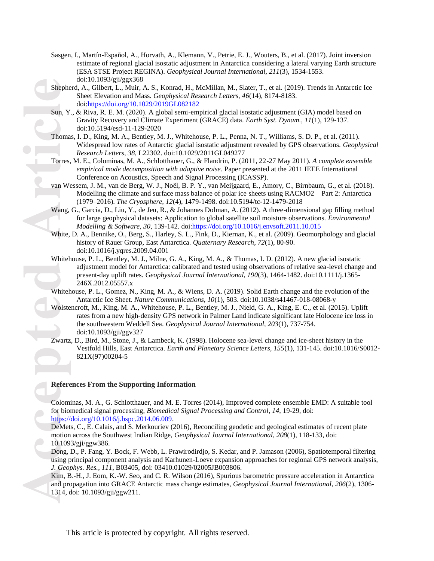- Sasgen, I., Martín-Español, A., Horvath, A., Klemann, V., Petrie, E. J., Wouters, B., et al. (2017). Joint inversion estimate of regional glacial isostatic adjustment in Antarctica considering a lateral varying Earth structure (ESA STSE Project REGINA). *Geophysical Journal International, 211*(3), 1534-1553. doi:10.1093/gji/ggx368
- Shepherd, A., Gilbert, L., Muir, A. S., Konrad, H., McMillan, M., Slater, T., et al. (2019). Trends in Antarctic Ice Sheet Elevation and Mass. *Geophysical Research Letters, 46*(14), 8174-8183. doi[:https://doi.org/10.1029/2019GL082182](https://doi.org/10.1029/2019GL082182)
- Sun, Y., & Riva, R. E. M. (2020). A global semi-empirical glacial isostatic adjustment (GIA) model based on Gravity Recovery and Climate Experiment (GRACE) data. *Earth Syst. Dynam., 11*(1), 129-137. doi:10.5194/esd-11-129-2020
- Thomas, I. D., King, M. A., Bentley, M. J., Whitehouse, P. L., Penna, N. T., Williams, S. D. P., et al. (2011). Widespread low rates of Antarctic glacial isostatic adjustment revealed by GPS observations. *Geophysical Research Letters, 38*, L22302. doi:10.1029/2011GL049277
- Torres, M. E., Colominas, M. A., Schlotthauer, G., & Flandrin, P. (2011, 22-27 May 2011). *A complete ensemble empirical mode decomposition with adaptive noise.* Paper presented at the 2011 IEEE International Conference on Acoustics, Speech and Signal Processing (ICASSP).
- van Wessem, J. M., van de Berg, W. J., Noël, B. P. Y., van Meijgaard, E., Amory, C., Birnbaum, G., et al. (2018). Modelling the climate and surface mass balance of polar ice sheets using RACMO2 – Part 2: Antarctica (1979–2016). *The Cryosphere, 12*(4), 1479-1498. doi:10.5194/tc-12-1479-2018
- Wang, G., Garcia, D., Liu, Y., de Jeu, R., & Johannes Dolman, A. (2012). A three-dimensional gap filling method for large geophysical datasets: Application to global satellite soil moisture observations. *Environmental Modelling & Software, 30*, 139-142. doi[:https://doi.org/10.1016/j.envsoft.2011.10.015](https://doi.org/10.1016/j.envsoft.2011.10.015)
- White, D. A., Bennike, O., Berg, S., Harley, S. L., Fink, D., Kiernan, K., et al. (2009). Geomorphology and glacial history of Rauer Group, East Antarctica. *Quaternary Research, 72*(1), 80-90. doi:10.1016/j.yqres.2009.04.001
- Whitehouse, P. L., Bentley, M. J., Milne, G. A., King, M. A., & Thomas, I. D. (2012). A new glacial isostatic adjustment model for Antarctica: calibrated and tested using observations of relative sea-level change and present-day uplift rates. *Geophysical Journal International, 190*(3), 1464-1482. doi:10.1111/j.1365- 246X.2012.05557.x
- Whitehouse, P. L., Gomez, N., King, M. A., & Wiens, D. A. (2019). Solid Earth change and the evolution of the Antarctic Ice Sheet. *Nature Communications, 10*(1), 503. doi:10.1038/s41467-018-08068-y
- Shephe<br>
Sun, Y<br>
Thoma<br>
Torres,<br>
van We<br>
Wang,<br>
White,<br>
Whiteh<br>
Whiteh<br>
Whiteh<br>
Whiteh<br>
Whiteh<br>
Whiteh<br>
Whiteh<br>
Whiteh<br>
Whiteh<br>
Whiteh<br>
Whiteh<br>
Article<br>
Expartz<br>
DeMet<br>
motion<br>
10.109<br>
Dong, l<br>
using p<br> *J. Geop*<br>
Kim, B<br>
a Wolstencroft, M., King, M. A., Whitehouse, P. L., Bentley, M. J., Nield, G. A., King, E. C., et al. (2015). Uplift rates from a new high-density GPS network in Palmer Land indicate significant late Holocene ice loss in the southwestern Weddell Sea. *Geophysical Journal International, 203*(1), 737-754. doi:10.1093/gji/ggv327
	- Zwartz, D., Bird, M., Stone, J., & Lambeck, K. (1998). Holocene sea-level change and ice-sheet history in the Vestfold Hills, East Antarctica. *Earth and Planetary Science Letters, 155*(1), 131-145. doi:10.1016/S0012- 821X(97)00204-5

#### **References From the Supporting Information**

Colominas, M. A., G. Schlotthauer, and M. E. Torres (2014), Improved complete ensemble EMD: A suitable tool for biomedical signal processing, *Biomedical Signal Processing and Control*, *14*, 19-29, doi: [https://doi.org/10.1016/j.bspc.2014.06.009.](https://doi.org/10.1016/j.bspc.2014.06.009)

DeMets, C., E. Calais, and S. Merkouriev (2016), Reconciling geodetic and geological estimates of recent plate motion across the Southwest Indian Ridge, *Geophysical Journal International*, *208*(1), 118-133, doi: 10.1093/gji/ggw386.

Dong, D., P. Fang, Y. Bock, F. Webb, L. Prawirodirdjo, S. Kedar, and P. Jamason (2006), Spatiotemporal filtering using principal component analysis and Karhunen-Loeve expansion approaches for regional GPS network analysis, *J. Geophys. Res.*, *111*, B03405, doi: 03410.01029/02005JB003806.

Kim, B.-H., J. Eom, K.-W. Seo, and C. R. Wilson (2016), Spurious barometric pressure acceleration in Antarctica and propagation into GRACE Antarctic mass change estimates, *Geophysical Journal International*, *206*(2), 1306- 1314, doi: 10.1093/gji/ggw211.